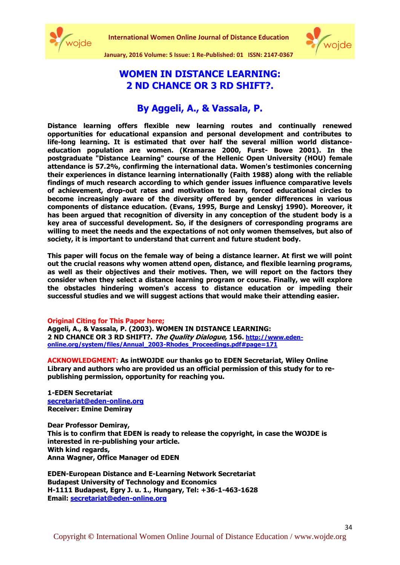

**International Women Online Journal of Distance Education**



34

**January, 2016 Volume: 5 Issue: 1 Re-Published: 01 ISSN: 2147-0367**

# **WOMEN IN DISTANCE LEARNING: 2 ND CHANCE OR 3 RD SHIFT?.**

**By Aggeli, A., & Vassala, P.**

**Distance learning offers flexible new learning routes and continually renewed opportunities for educational expansion and personal development and contributes to life-long learning. It is estimated that over half the several million world distanceeducation population are women. (Kramarae 2000, Furst- Bowe 2001). In the postgraduate "Distance Learning" course of the Hellenic Open University (HOU) female attendance is 57.2%, confirming the international data. Women's testimonies concerning their experiences in distance learning internationally (Faith 1988) along with the reliable findings of much research according to which gender issues influence comparative levels of achievement, drop-out rates and motivation to learn, forced educational circles to become increasingly aware of the diversity offered by gender differences in various components of distance education. (Evans, 1995, Burge and Lenskyj 1990). Moreover, it has been argued that recognition of diversity in any conception of the student body is a key area of successful development. So, if the designers of corresponding programs are willing to meet the needs and the expectations of not only women themselves, but also of society, it is important to understand that current and future student body.**

**This paper will focus on the female way of being a distance learner. At first we will point out the crucial reasons why women attend open, distance, and flexible learning programs, as well as their objectives and their motives. Then, we will report on the factors they consider when they select a distance learning program or course. Finally, we will explore the obstacles hindering women's access to distance education or impeding their successful studies and we will suggest actions that would make their attending easier.**

#### **Original Citing for This Paper here;**

**Aggeli, A., & Vassala, P. (2003). WOMEN IN DISTANCE LEARNING: 2 ND CHANCE OR 3 RD SHIFT?. The Quality Dialogue, 156. [http://www.eden](http://www.eden-online.org/system/files/Annual_2003-Rhodes_Proceedings.pdf#page=171)[online.org/system/files/Annual\\_2003-Rhodes\\_Proceedings.pdf#page=171](http://www.eden-online.org/system/files/Annual_2003-Rhodes_Proceedings.pdf#page=171)**

**ACKNOWLEDGMENT: As intWOJDE our thanks go to EDEN Secretariat, Wiley Online Library and authors who are provided us an official permission of this study for to republishing permission, opportunity for reaching you.**

**1-EDEN Secretariat [secretariat@eden-online.org](mailto:secretariat@eden-online.org) Receiver: Emine Demiray**

**Dear Professor Demiray, This is to confirm that EDEN is ready to release the copyright, in case the WOJDE is interested in re-publishing your article. With kind regards, Anna Wagner, Office Manager od EDEN**

**EDEN-European Distance and E-Learning Network Secretariat Budapest University of Technology and Economics H-1111 Budapest, Egry J. u. 1., Hungary, Tel: +36-1-463-1628 Email: [secretariat@eden-online.org](mailto:secretariat@eden-online.org)**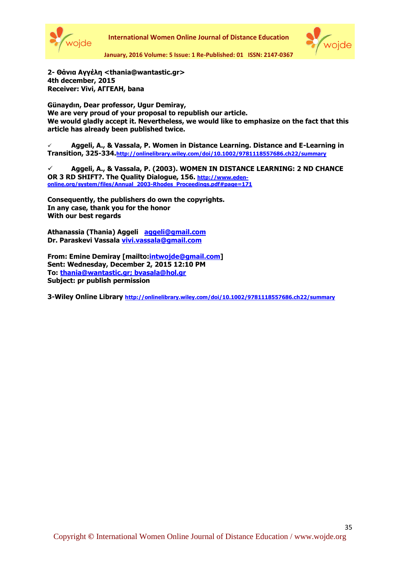



**January, 2016 Volume: 5 Issue: 1 Re-Published: 01 ISSN: 2147-0367**

**2- Θάνια Αγγέλη <thania@wantastic.gr> 4th december, 2015 Receiver: Vivi, ΑΓΓΕΛΗ, bana** 

**Günaydın, Dear professor, Ugur Demiray, We are very proud of your proposal to republish our article. We would gladly accept it. Nevertheless, we would like to emphasize on the fact that this article has already been published twice.**

 **Aggeli, A., & Vassala, P. Women in Distance Learning. Distance and E-Learning in Transition, 325-334.<http://onlinelibrary.wiley.com/doi/10.1002/9781118557686.ch22/summary>**

 **Aggeli, A., & Vassala, P. (2003). WOMEN IN DISTANCE LEARNING: 2 ND CHANCE OR 3 RD SHIFT?. The Quality Dialogue, 156. [http://www.eden](http://www.eden-online.org/system/files/Annual_2003-Rhodes_Proceedings.pdf#page=171)[online.org/system/files/Annual\\_2003-Rhodes\\_Proceedings.pdf#page=171](http://www.eden-online.org/system/files/Annual_2003-Rhodes_Proceedings.pdf#page=171)** 

**Consequently, the publishers do own the copyrights. In any case, thank you for the honor With our best regards** 

**Athanassia (Thania) Aggeli [aggeli@gmail.com](mailto:aggeli@gmail.com)  Dr. Paraskevi Vassala [vivi.vassala@gmail.com](vivi.vassala@gmail.com%20)**

**From: Emine Demiray [mailto[:intwojde@gmail.com\]](intwojde@gmail.com) Sent: Wednesday, December 2, 2015 12:10 PM To: [thania@wantastic.gr; bvasala@hol.gr](thania@wantastic.gr;%20bvasala@hol.gr) Subject: pr publish permission**

**3-Wiley Online Library <http://onlinelibrary.wiley.com/doi/10.1002/9781118557686.ch22/summary>**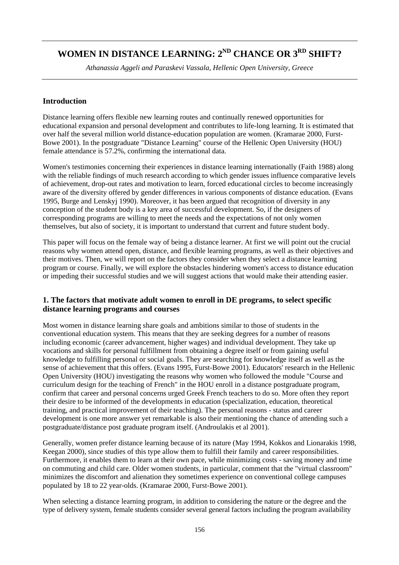# WOMEN IN DISTANCE LEARNING:  $2^{ND}$  CHANCE OR  $3^{RD}$  SHIFT?

*Athanassia Aggeli and Paraskevi Vassala, Hellenic Open University, Greece* 

# **Introduction**

Distance learning offers flexible new learning routes and continually renewed opportunities for educational expansion and personal development and contributes to life-long learning. It is estimated that over half the several million world distance-education population are women. (Kramarae 2000, Furst-Bowe 2001). In the postgraduate "Distance Learning" course of the Hellenic Open University (HOU) female attendance is 57.2%, confirming the international data.

Women's testimonies concerning their experiences in distance learning internationally (Faith 1988) along with the reliable findings of much research according to which gender issues influence comparative levels of achievement, drop-out rates and motivation to learn, forced educational circles to become increasingly aware of the diversity offered by gender differences in various components of distance education. (Evans 1995, Burge and Lenskyj 1990). Moreover, it has been argued that recognition of diversity in any conception of the student body is a key area of successful development. So, if the designers of corresponding programs are willing to meet the needs and the expectations of not only women themselves, but also of society, it is important to understand that current and future student body.

This paper will focus on the female way of being a distance learner. At first we will point out the crucial reasons why women attend open, distance, and flexible learning programs, as well as their objectives and their motives. Then, we will report on the factors they consider when they select a distance learning program or course. Finally, we will explore the obstacles hindering women's access to distance education or impeding their successful studies and we will suggest actions that would make their attending easier.

# **1. The factors that motivate adult women to enroll in DE programs, to select specific distance learning programs and courses**

Most women in distance learning share goals and ambitions similar to those of students in the conventional education system. This means that they are seeking degrees for a number of reasons including economic (career advancement, higher wages) and individual development. They take up vocations and skills for personal fulfillment from obtaining a degree itself or from gaining useful knowledge to fulfilling personal or social goals. They are searching for knowledge itself as well as the sense of achievement that this offers. (Evans 1995, Furst-Bowe 2001). Educators' research in the Hellenic Open University (HOU) investigating the reasons why women who followed the module "Course and curriculum design for the teaching of French" in the HOU enroll in a distance postgraduate program, confirm that career and personal concerns urged Greek French teachers to do so. More often they report their desire to be informed of the developments in education (specialization, education, theoretical training, and practical improvement of their teaching). The personal reasons - status and career development is one more answer yet remarkable is also their mentioning the chance of attending such a postgraduate/distance post graduate program itself. (Androulakis et al 2001).

Generally, women prefer distance learning because of its nature (May 1994, Kokkos and Lionarakis 1998, Keegan 2000), since studies of this type allow them to fulfill their family and career responsibilities. Furthermore, it enables them to learn at their own pace, while minimizing costs - saving money and time on commuting and child care. Older women students, in particular, comment that the "virtual classroom" minimizes the discomfort and alienation they sometimes experience on conventional college campuses populated by 18 to 22 year-olds. (Kramarae 2000, Furst-Bowe 2001).

When selecting a distance learning program, in addition to considering the nature or the degree and the type of delivery system, female students consider several general factors including the program availability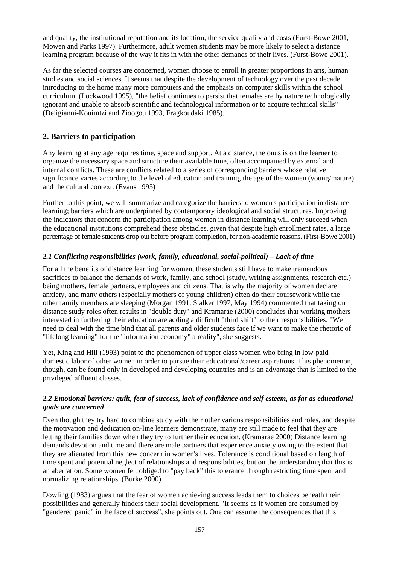and quality, the institutional reputation and its location, the service quality and costs (Furst-Bowe 2001, Mowen and Parks 1997). Furthermore, adult women students may be more likely to select a distance learning program because of the way it fits in with the other demands of their lives. (Furst-Bowe 2001).

As far the selected courses are concerned, women choose to enroll in greater proportions in arts, human studies and social sciences. It seems that despite the development of technology over the past decade introducing to the home many more computers and the emphasis on computer skills within the school curriculum, (Lockwood 1995), "the belief continues to persist that females are by nature technologically ignorant and unable to absorb scientific and technological information or to acquire technical skills" (Deligianni-Kouimtzi and Zioogou 1993, Fragkoudaki 1985).

# **2. Barriers to participation**

Any learning at any age requires time, space and support. At a distance, the onus is on the learner to organize the necessary space and structure their available time, often accompanied by external and internal conflicts. These are conflicts related to a series of corresponding barriers whose relative significance varies according to the level of education and training, the age of the women (young/mature) and the cultural context. (Evans 1995)

Further to this point, we will summarize and categorize the barriers to women's participation in distance learning; barriers which are underpinned by contemporary ideological and social structures. Improving the indicators that concern the participation among women in distance learning will only succeed when the educational institutions comprehend these obstacles, given that despite high enrollment rates, a large percentage of female students drop out before program completion, for non-academic reasons. (First-Bowe 2001)

# *2.1 Conflicting responsibilities (work, family, educational, social-political) – Lack of time*

For all the benefits of distance learning for women, these students still have to make tremendous sacrifices to balance the demands of work, family, and school (study, writing assignments, research etc.) being mothers, female partners, employees and citizens. That is why the majority of women declare anxiety, and many others (especially mothers of young children) often do their coursework while the other family members are sleeping (Morgan 1991, Stalker 1997, May 1994) commented that taking on distance study roles often results in "double duty" and Kramarae (2000) concludes that working mothers interested in furthering their education are adding a difficult "third shift" to their responsibilities. "We need to deal with the time bind that all parents and older students face if we want to make the rhetoric of "lifelong learning" for the "information economy" a reality", she suggests.

Yet, King and Hill (1993) point to the phenomenon of upper class women who bring in low-paid domestic labor of other women in order to pursue their educational/career aspirations. This phenomenon, though, can be found only in developed and developing countries and is an advantage that is limited to the privileged affluent classes.

# *2.2 Emotional barriers: guilt, fear of success, lack of confidence and self esteem, as far as educational goals are concerned*

Even though they try hard to combine study with their other various responsibilities and roles, and despite the motivation and dedication on-line learners demonstrate, many are still made to feel that they are letting their families down when they try to further their education. (Kramarae 2000) Distance learning demands devotion and time and there are male partners that experience anxiety owing to the extent that they are alienated from this new concern in women's lives. Tolerance is conditional based on length of time spent and potential neglect of relationships and responsibilities, but on the understanding that this is an aberration. Some women felt obliged to "pay back" this tolerance through restricting time spent and normalizing relationships. (Burke 2000).

Dowling (1983) argues that the fear of women achieving success leads them to choices beneath their possibilities and generally hinders their social development. "It seems as if women are consumed by "gendered panic" in the face of success", she points out. One can assume the consequences that this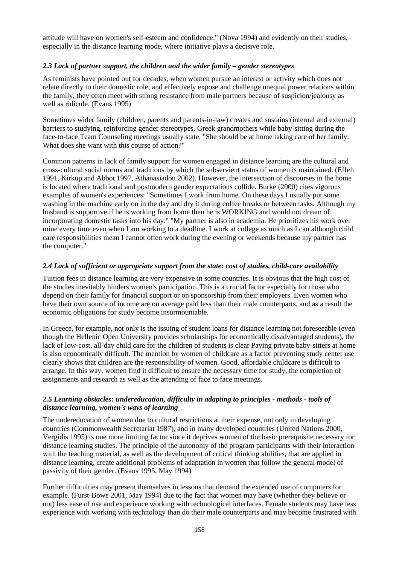attitude will have on women's self-esteem and confidence." (Nova 1994) and evidently on their studies, especially in the distance learning mode, where initiative plays a decisive role.

#### *2.3 Lack of partner support, the children and the wider family – gender stereotypes*

As feminists have pointed out for decades, when women pursue an interest or activity which does not relate directly to their domestic role, and effectively expose and challenge unequal power relations within the family, they often meet with strong resistance from male partners because of suspicion/jealousy as well as ridicule. (Evans 1995)

Sometimes wider family (children, parents and parents-in-law) creates and sustains (internal and external) barriers to studying, reinforcing gender stereotypes. Greek grandmothers while baby-sitting during the face-to-face Team Counseling meetings usually state, "She should be at home taking care of her family. What does she want with this course of action?"

Common patterns in lack of family support for women engaged in distance learning are the cultural and cross-cultural social norms and traditions by which the subservient status of women is maintained. (Effeh 1991, Kirkup and Abbot 1997, Athanasiadou 2002). However, the intersection of discourses in the home is located where traditional and postmodern gender expectations collide. Burke (2000) cites vigorous examples of women's experiences: "Sometimes I work from home. On these days I usually put some washing in the machine early on in the day and dry it during coffee breaks or between tasks. Although my husband is supportive if he is working from home then he is WORKING and would not dream of incorporating domestic tasks into his day." "My partner is also in academia. He prioritizes his work over mine every time even when I am working to a deadline. I work at college as much as I can although child care responsibilities mean I cannot often work during the evening or weekends because my partner has the computer."

#### *2.4 Lack of sufficient or appropriate support from the state: cost of studies, child-care availability*

Tuition fees in distance learning are very expensive in some countries. It is obvious that the high cost of the studies inevitably hinders women's participation. This is a crucial factor especially for those who depend on their family for financial support or on sponsorship from their employers. Even women who have their own source of income are on average paid less than their male counterparts, and as a result the economic obligations for study become insurmountable.

In Greece, for example, not only is the issuing of student loans for distance learning not foreseeable (even though the Hellenic Open University provides scholarships for economically disadvantaged students), the lack of low-cost, all-day child care for the children of students is clear Paying private baby-sitters at home is also economically difficult. The mention by women of childcare as a factor preventing study center use clearly shows that children are the responsibility of women. Good, affordable childcare is difficult to arrange. In this way, women find it difficult to ensure the necessary time for study, the completion of assignments and research as well as the attending of face to face meetings.

#### *2.5 Learning obstacles: undereducation, difficulty in adapting to principles - methods - tools of distance learning, women's ways of learning*

The undereducation of women due to cultural restrictions at their expense, not only in developing countries (Commonwealth Secretariat 1987), and in many developed countries (United Nations 2000, Vergidis 1995) is one more limiting factor since it deprives women of the basic prerequisite necessary for distance learning studies. The principle of the autonomy of the program participants with their interaction with the teaching material, as well as the development of critical thinking abilities, that are applied in distance learning, create additional problems of adaptation in women that follow the general model of passivity of their gender. (Evans 1995, May 1994)

Further difficulties may present themselves in lessons that demand the extended use of computers for example. (Furst-Bowe 2001, May 1994) due to the fact that women may have (whether they believe or not) less ease of use and experience working with technological interfaces. Female students may have less experience with working with technology than do their male counterparts and may become frustrated with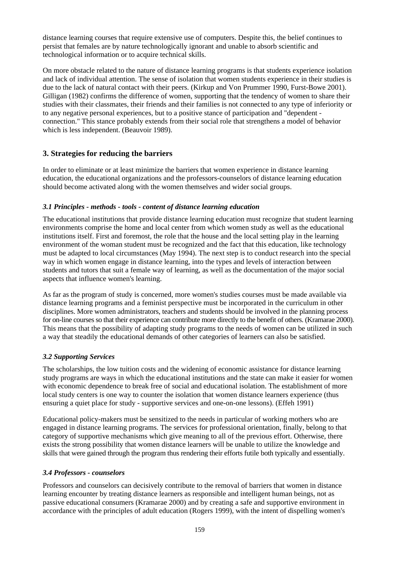distance learning courses that require extensive use of computers. Despite this, the belief continues to persist that females are by nature technologically ignorant and unable to absorb scientific and technological information or to acquire technical skills.

On more obstacle related to the nature of distance learning programs is that students experience isolation and lack of individual attention. The sense of isolation that women students experience in their studies is due to the lack of natural contact with their peers. (Kirkup and Von Prummer 1990, Furst-Bowe 2001). Gilligan (1982) confirms the difference of women, supporting that the tendency of women to share their studies with their classmates, their friends and their families is not connected to any type of inferiority or to any negative personal experiences, but to a positive stance of participation and "dependent connection." This stance probably extends from their social role that strengthens a model of behavior which is less independent. (Beauvoir 1989).

# **3. Strategies for reducing the barriers**

In order to eliminate or at least minimize the barriers that women experience in distance learning education, the educational organizations and the professors-counselors of distance learning education should become activated along with the women themselves and wider social groups.

# *3.1 Principles - methods - tools - content of distance learning education*

The educational institutions that provide distance learning education must recognize that student learning environments comprise the home and local center from which women study as well as the educational institutions itself. First and foremost, the role that the house and the local setting play in the learning environment of the woman student must be recognized and the fact that this education, like technology must be adapted to local circumstances (May 1994). The next step is to conduct research into the special way in which women engage in distance learning, into the types and levels of interaction between students and tutors that suit a female way of learning, as well as the documentation of the major social aspects that influence women's learning.

As far as the program of study is concerned, more women's studies courses must be made available via distance learning programs and a feminist perspective must be incorporated in the curriculum in other disciplines. More women administrators, teachers and students should be involved in the planning process for on-line courses so that their experience can contribute more directly to the benefit of others. (Kramarae 2000). This means that the possibility of adapting study programs to the needs of women can be utilized in such a way that steadily the educational demands of other categories of learners can also be satisfied.

# *3.2 Supporting Services*

The scholarships, the low tuition costs and the widening of economic assistance for distance learning study programs are ways in which the educational institutions and the state can make it easier for women with economic dependence to break free of social and educational isolation. The establishment of more local study centers is one way to counter the isolation that women distance learners experience (thus ensuring a quiet place for study - supportive services and one-on-one lessons). (Effeh 1991)

Educational policy-makers must be sensitized to the needs in particular of working mothers who are engaged in distance learning programs. The services for professional orientation, finally, belong to that category of supportive mechanisms which give meaning to all of the previous effort. Otherwise, there exists the strong possibility that women distance learners will be unable to utilize the knowledge and skills that were gained through the program thus rendering their efforts futile both typically and essentially.

# *3.4 Professors - counselors*

Professors and counselors can decisively contribute to the removal of barriers that women in distance learning encounter by treating distance learners as responsible and intelligent human beings, not as passive educational consumers (Kramarae 2000) and by creating a safe and supportive environment in accordance with the principles of adult education (Rogers 1999), with the intent of dispelling women's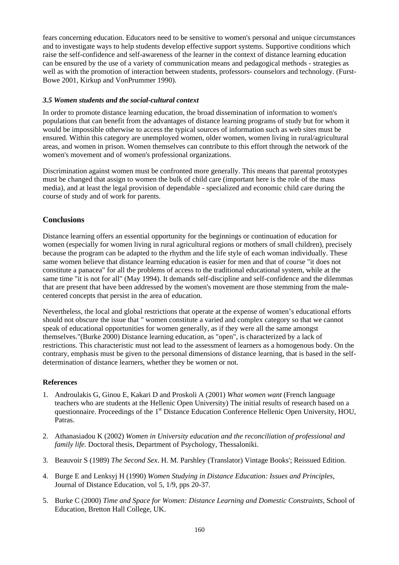fears concerning education. Educators need to be sensitive to women's personal and unique circumstances and to investigate ways to help students develop effective support systems. Supportive conditions which raise the self-confidence and self-awareness of the learner in the context of distance learning education can be ensured by the use of a variety of communication means and pedagogical methods - strategies as well as with the promotion of interaction between students, professors- counselors and technology. (Furst-Bowe 2001, Kirkup and VonPrummer 1990).

#### *3.5 Women students and the social-cultural context*

In order to promote distance learning education, the broad dissemination of information to women's populations that can benefit from the advantages of distance learning programs of study but for whom it would be impossible otherwise to access the typical sources of information such as web sites must be ensured. Within this category are unemployed women, older women, women living in rural/agricultural areas, and women in prison. Women themselves can contribute to this effort through the network of the women's movement and of women's professional organizations.

Discrimination against women must be confronted more generally. This means that parental prototypes must be changed that assign to women the bulk of child care (important here is the role of the mass media), and at least the legal provision of dependable - specialized and economic child care during the course of study and of work for parents.

# **Conclusions**

Distance learning offers an essential opportunity for the beginnings or continuation of education for women (especially for women living in rural agricultural regions or mothers of small children), precisely because the program can be adapted to the rhythm and the life style of each woman individually. These same women believe that distance learning education is easier for men and that of course "it does not constitute a panacea" for all the problems of access to the traditional educational system, while at the same time "it is not for all" (May 1994). It demands self-discipline and self-confidence and the dilemmas that are present that have been addressed by the women's movement are those stemming from the malecentered concepts that persist in the area of education.

Nevertheless, the local and global restrictions that operate at the expense of women's educational efforts should not obscure the issue that " women constitute a varied and complex category so that we cannot speak of educational opportunities for women generally, as if they were all the same amongst themselves."(Burke 2000) Distance learning education, as "open", is characterized by a lack of restrictions. This characteristic must not lead to the assessment of learners as a homogenous body. On the contrary, emphasis must be given to the personal dimensions of distance learning, that is based in the selfdetermination of distance learners, whether they be women or not.

# **References**

- 1. Androulakis G, Ginou E, Kakari D and Proskoli A (2001) *What women want* (French language teachers who are students at the Hellenic Open University) The initial results of research based on a questionnaire. Proceedings of the 1<sup>st</sup> Distance Education Conference Hellenic Open University, HOU, Patras.
- 2. Athanasiadou K (2002) *Women in University education and the reconciliation of professional and family life.* Doctoral thesis, Department of Psychology, Thessaloniki.
- 3. Beauvoir S (1989) *The Second Sex*. H. M. Parshley (Translator) Vintage Books'; Reissued Edition.
- 4. Burge E and Lenksyj H (1990) *Women Studying in Distance Education: Issues and Principles*, Journal of Distance Education, vol 5, 1/9, pps 20-37.
- 5. Burke C (2000) *Time and Space for Women: Distance Learning and Domestic Constraints,* School of Education, Bretton Hall College, UK.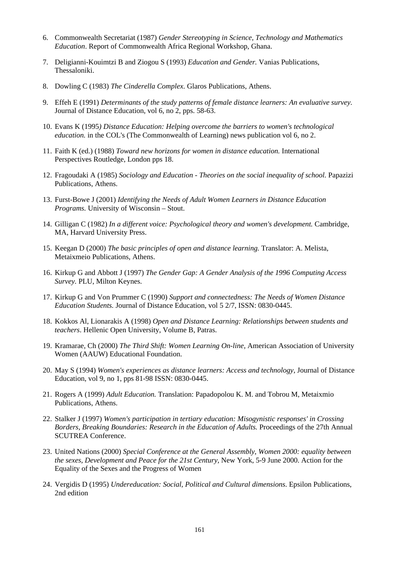- 6. Commonwealth Secretariat (1987) *Gender Stereotyping in Science, Technology and Mathematics Education*. Report of Commonwealth Africa Regional Workshop, Ghana.
- 7. Deligianni-Kouimtzi B and Ziogou S (1993) *Education and Gender.* Vanias Publications, Thessaloniki.
- 8. Dowling C (1983) *The Cinderella Complex*. Glaros Publications, Athens.
- 9. Effeh E (1991) *Determinants of the study patterns of female distance learners: An evaluative survey.* Journal of Distance Education, vol 6, no 2, pps. 58-63.
- 10. Evans K (1995*) Distance Education: Helping overcome the barriers to women's technological education.* in the COL's (The Commonwealth of Learning) news publication vol 6, no 2.
- 11. Faith K (ed.) (1988) *Toward new horizons for women in distance education.* International Perspectives Routledge, London pps 18.
- 12. Fragoudaki A (1985) *Sociology and Education Theories on the social inequality of school.* Papazizi Publications, Athens.
- 13. Furst-Bowe J (2001) *Identifying the Needs of Adult Women Learners in Distance Education Programs.* University of Wisconsin – Stout.
- 14. Gilligan C (1982) *In a different voice: Psychological theory and women's development.* Cambridge, MA, Harvard University Press.
- 15. Keegan D (2000) *The basic principles of open and distance learning.* Translator: A. Melista, Metaixmeio Publications, Athens.
- 16. Kirkup G and Abbott J (1997) *The Gender Gap: A Gender Analysis of the 1996 Computing Access Survey.* PLU, Milton Keynes.
- 17. Kirkup G and Von Prummer C (1990) *Support and connectedness: The Needs of Women Distance Education Students.* Journal of Distance Education, vol 5 2/7, ISSN: 0830-0445.
- 18. Kokkos Al, Lionarakis A (1998) *Open and Distance Learning: Relationships between students and teachers*. Hellenic Open University, Volume B, Patras.
- 19. Kramarae, Ch (2000) *The Third Shift: Women Learning On-line,* American Association of University Women (AAUW) Educational Foundation.
- 20. May S (1994) *Women's experiences as distance learners: Access and technology*, Journal of Distance Education, vol 9, no 1, pps 81-98 ISSN: 0830-0445.
- 21. Rogers A (1999) *Adult Education.* Τranslation: Papadopolou K. M. and Tobrou M, Metaixmio Publications, Athens.
- 22. Stalker J (1997) *Women's participation in tertiary education: Misogynistic responses' in Crossing Borders, Breaking Boundaries: Research in the Education of Adults.* Proceedings of the 27th Annual SCUTREA Conference.
- 23. United Nations (2000) *Special Conference at the General Assembly, Women 2000: equality between the sexes, Development and Peace for the 21st Century*, New York, 5-9 June 2000. Action for the Equality of the Sexes and the Progress of Women
- 24. Vergidis D (1995) *Undereducation: Social, Political and Cultural dimensions*. Epsilon Publications, 2nd edition